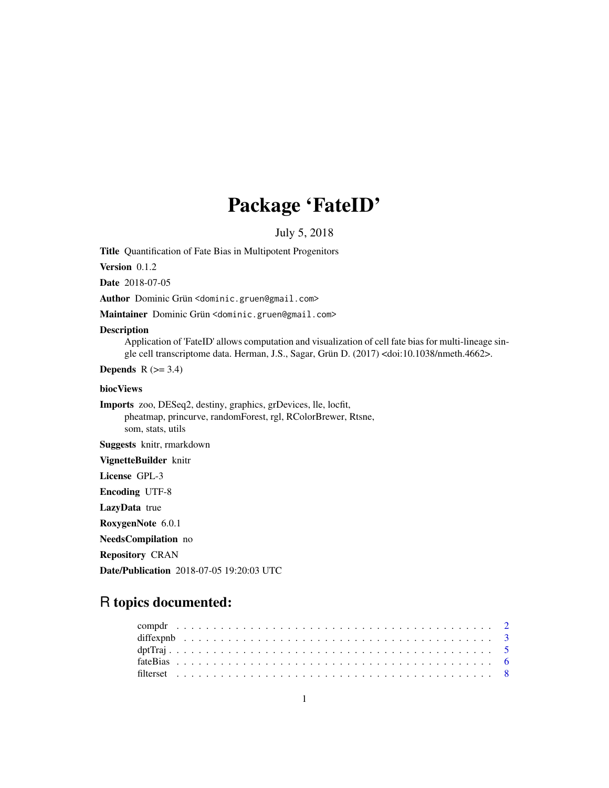# Package 'FateID'

July 5, 2018

Title Quantification of Fate Bias in Multipotent Progenitors

Version 0.1.2

Date 2018-07-05

Author Dominic Grün <dominic.gruen@gmail.com>

Maintainer Dominic Grün <dominic.gruen@gmail.com>

#### Description

Application of 'FateID' allows computation and visualization of cell fate bias for multi-lineage single cell transcriptome data. Herman, J.S., Sagar, Grün D. (2017) <doi:10.1038/nmeth.4662>.

Depends  $R$  ( $>= 3.4$ )

# biocViews

Imports zoo, DESeq2, destiny, graphics, grDevices, lle, locfit, pheatmap, princurve, randomForest, rgl, RColorBrewer, Rtsne, som, stats, utils

Suggests knitr, rmarkdown

VignetteBuilder knitr

License GPL-3

Encoding UTF-8

LazyData true

RoxygenNote 6.0.1

NeedsCompilation no

Repository CRAN

Date/Publication 2018-07-05 19:20:03 UTC

# R topics documented: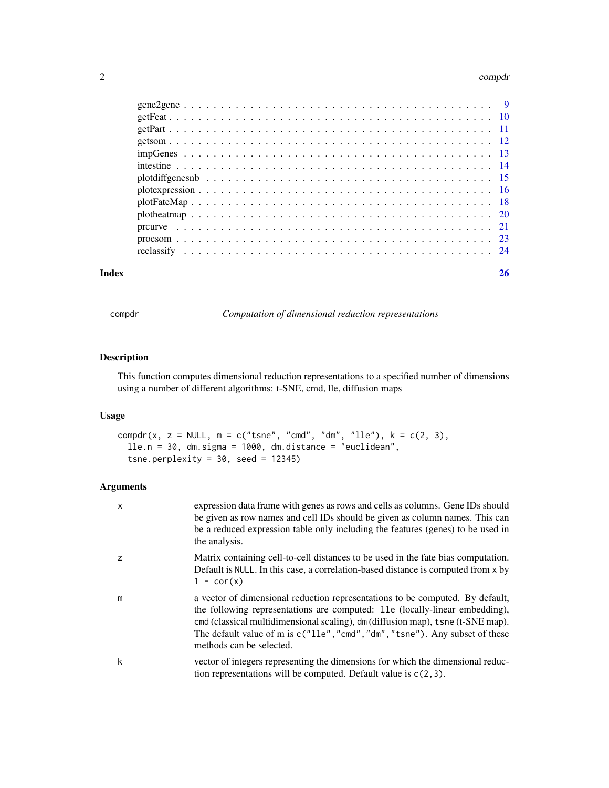#### <span id="page-1-0"></span>2 compdrate the component of the component of the component of the component of the component of the component of the component of the component of the component of the component of the component of the component of the co

| Index |  |
|-------|--|
|       |  |
|       |  |
|       |  |
|       |  |
|       |  |
|       |  |
|       |  |
|       |  |
|       |  |
|       |  |
|       |  |
|       |  |
|       |  |

compdr *Computation of dimensional reduction representations*

# Description

This function computes dimensional reduction representations to a specified number of dimensions using a number of different algorithms: t-SNE, cmd, lle, diffusion maps

#### Usage

```
compdr(x, z = NULL, m = c("tsne", "cmd", "dm", "lle"), k = c(2, 3),lle.n = 30, dm.sigma = 1000, dm.distance = "euclidean",
  tsne.perplexity = 30, seed = 12345)
```

| X | expression data frame with genes as rows and cells as columns. Gene IDs should<br>be given as row names and cell IDs should be given as column names. This can<br>be a reduced expression table only including the features (genes) to be used in<br>the analysis.                                                                                          |
|---|-------------------------------------------------------------------------------------------------------------------------------------------------------------------------------------------------------------------------------------------------------------------------------------------------------------------------------------------------------------|
| Z | Matrix containing cell-to-cell distances to be used in the fate bias computation.<br>Default is NULL. In this case, a correlation-based distance is computed from x by<br>$1 - \text{cor}(x)$                                                                                                                                                               |
| m | a vector of dimensional reduction representations to be computed. By default,<br>the following representations are computed: 11e (locally-linear embedding),<br>cmd (classical multidimensional scaling), dm (diffusion map), tsne (t-SNE map).<br>The default value of m is c("11e", "cmd", "dm", "tsne"). Any subset of these<br>methods can be selected. |
| k | vector of integers representing the dimensions for which the dimensional reduc-<br>tion representations will be computed. Default value is $c(2,3)$ .                                                                                                                                                                                                       |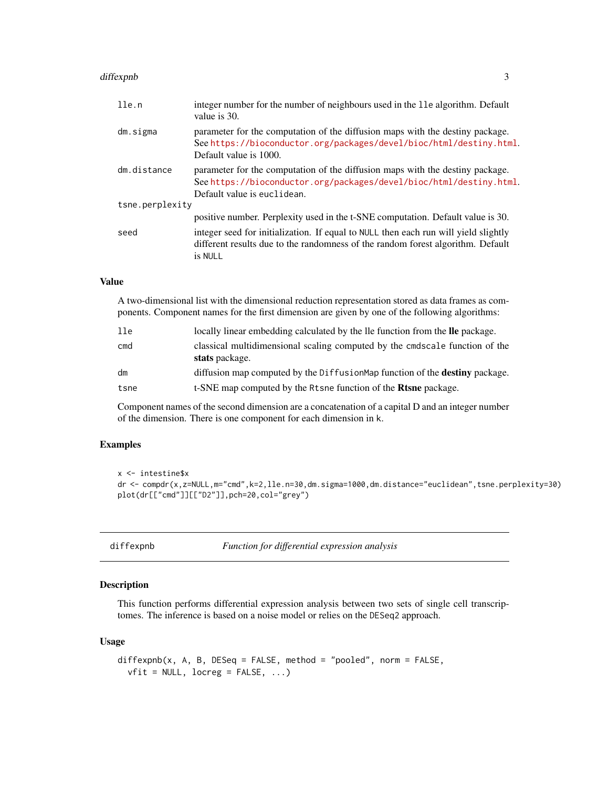#### <span id="page-2-0"></span>diffexpnb 3

| lle.n           | integer number for the number of neighbours used in the 11e algorithm. Default<br>value is 30.                                                                                      |
|-----------------|-------------------------------------------------------------------------------------------------------------------------------------------------------------------------------------|
| dm.sigma        | parameter for the computation of the diffusion maps with the destiny package.<br>See https://bioconductor.org/packages/devel/bioc/html/destiny.html.<br>Default value is 1000.      |
| dm.distance     | parameter for the computation of the diffusion maps with the destiny package.<br>See https://bioconductor.org/packages/devel/bioc/html/destiny.html.<br>Default value is euclidean. |
| tsne.perplexity |                                                                                                                                                                                     |
|                 | positive number. Perplexity used in the t-SNE computation. Default value is 30.                                                                                                     |
| seed            | integer seed for initialization. If equal to NULL then each run will yield slightly<br>different results due to the randomness of the random forest algorithm. Default<br>is NULL   |

# Value

A two-dimensional list with the dimensional reduction representation stored as data frames as components. Component names for the first dimension are given by one of the following algorithms:

| 11e  | locally linear embedding calculated by the lle function from the lle package.                 |
|------|-----------------------------------------------------------------------------------------------|
| cmd  | classical multidimensional scaling computed by the cmdscale function of the<br>stats package. |
| dm   | diffusion map computed by the DiffusionMap function of the <b>destiny</b> package.            |
| tsne | t-SNE map computed by the Rtsne function of the <b>Rtsne</b> package.                         |

Component names of the second dimension are a concatenation of a capital D and an integer number of the dimension. There is one component for each dimension in k.

# Examples

```
x <- intestine$x
dr <- compdr(x,z=NULL,m="cmd",k=2,lle.n=30,dm.sigma=1000,dm.distance="euclidean",tsne.perplexity=30)
plot(dr[["cmd"]][["D2"]],pch=20,col="grey")
```
diffexpnb *Function for differential expression analysis*

# Description

This function performs differential expression analysis between two sets of single cell transcriptomes. The inference is based on a noise model or relies on the DESeq2 approach.

#### Usage

```
diffexph(x, A, B, DESeq = FALSE, method = "pooled", norm = FALSE,vfit = NULL, locreg = FALSE, ...)
```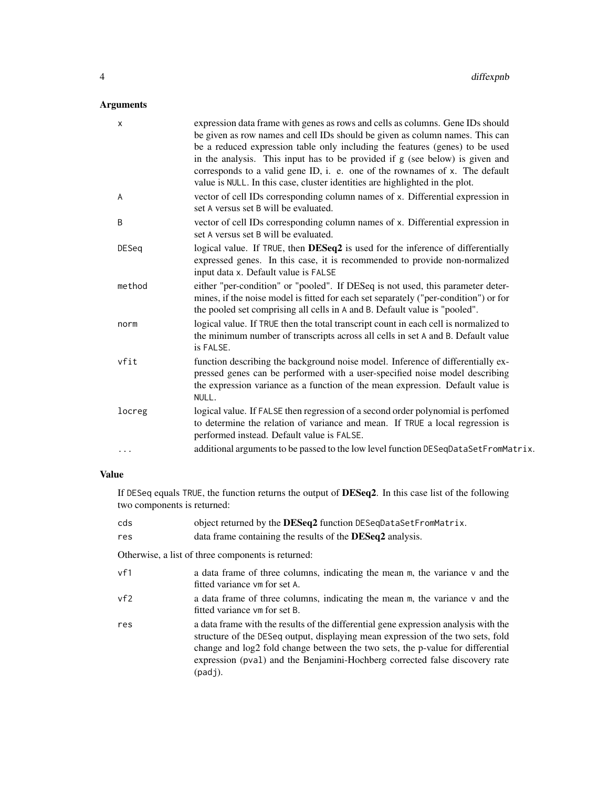# Arguments

| X            | expression data frame with genes as rows and cells as columns. Gene IDs should<br>be given as row names and cell IDs should be given as column names. This can<br>be a reduced expression table only including the features (genes) to be used<br>in the analysis. This input has to be provided if g (see below) is given and<br>corresponds to a valid gene ID, i. e. one of the rownames of x. The default<br>value is NULL. In this case, cluster identities are highlighted in the plot. |
|--------------|-----------------------------------------------------------------------------------------------------------------------------------------------------------------------------------------------------------------------------------------------------------------------------------------------------------------------------------------------------------------------------------------------------------------------------------------------------------------------------------------------|
| A            | vector of cell IDs corresponding column names of x. Differential expression in<br>set A versus set B will be evaluated.                                                                                                                                                                                                                                                                                                                                                                       |
| B            | vector of cell IDs corresponding column names of x. Differential expression in<br>set A versus set B will be evaluated.                                                                                                                                                                                                                                                                                                                                                                       |
| <b>DESeq</b> | logical value. If TRUE, then DESeq2 is used for the inference of differentially<br>expressed genes. In this case, it is recommended to provide non-normalized<br>input data x. Default value is FALSE                                                                                                                                                                                                                                                                                         |
| method       | either "per-condition" or "pooled". If DESeq is not used, this parameter deter-<br>mines, if the noise model is fitted for each set separately ("per-condition") or for<br>the pooled set comprising all cells in A and B. Default value is "pooled".                                                                                                                                                                                                                                         |
| norm         | logical value. If TRUE then the total transcript count in each cell is normalized to<br>the minimum number of transcripts across all cells in set A and B. Default value<br>is FAI SF.                                                                                                                                                                                                                                                                                                        |
| vfit         | function describing the background noise model. Inference of differentially ex-<br>pressed genes can be performed with a user-specified noise model describing<br>the expression variance as a function of the mean expression. Default value is<br>NULL.                                                                                                                                                                                                                                     |
| locreg       | logical value. If FALSE then regression of a second order polynomial is perfomed<br>to determine the relation of variance and mean. If TRUE a local regression is<br>performed instead. Default value is FALSE.                                                                                                                                                                                                                                                                               |
| $\cdots$     | additional arguments to be passed to the low level function DESeqDataSetFromMatrix.                                                                                                                                                                                                                                                                                                                                                                                                           |

# Value

If DESeq equals TRUE, the function returns the output of DESeq2. In this case list of the following two components is returned:

| cds | object returned by the <b>DESeq2</b> function DESeqDataSetFromMatrix.                                                                                                                                                                                                                                                                                |
|-----|------------------------------------------------------------------------------------------------------------------------------------------------------------------------------------------------------------------------------------------------------------------------------------------------------------------------------------------------------|
| res | data frame containing the results of the <b>DESeq2</b> analysis.                                                                                                                                                                                                                                                                                     |
|     | Otherwise, a list of three components is returned:                                                                                                                                                                                                                                                                                                   |
| vf1 | a data frame of three columns, indicating the mean m, the variance v and the<br>fitted variance vm for set A.                                                                                                                                                                                                                                        |
| vf2 | a data frame of three columns, indicating the mean $m$ , the variance $v$ and the<br>fitted variance ym for set B.                                                                                                                                                                                                                                   |
| res | a data frame with the results of the differential gene expression analysis with the<br>structure of the DESeq output, displaying mean expression of the two sets, fold<br>change and log2 fold change between the two sets, the p-value for differential<br>expression (pval) and the Benjamini-Hochberg corrected false discovery rate<br>$(pad)$ . |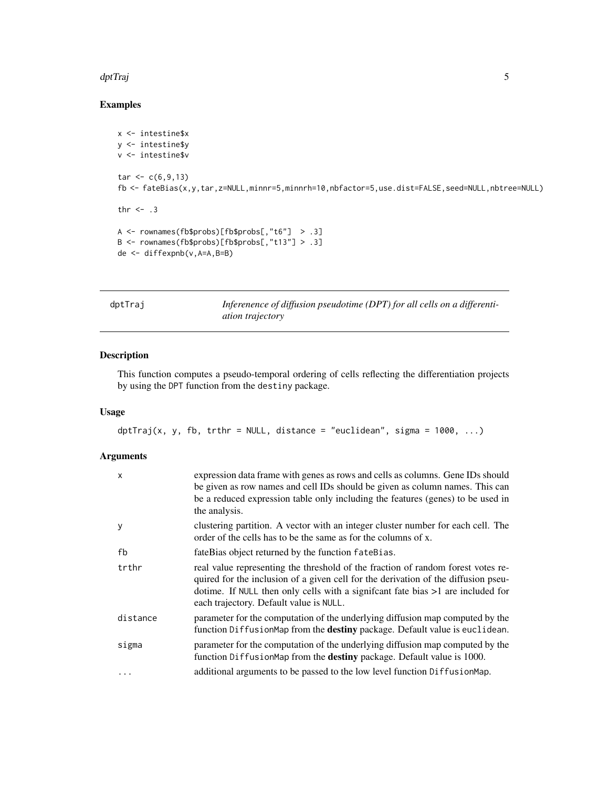#### <span id="page-4-0"></span>dptTraj 500 % de 100 % de 100 % de 100 % de 100 % de 100 % de 100 % de 100 % de 100 % de 100 % de 100 % de 100

# Examples

```
x <- intestine$x
y <- intestine$y
v <- intestine$v
tar < c(6, 9, 13)fb <- fateBias(x,y,tar,z=NULL,minnr=5,minnrh=10,nbfactor=5,use.dist=FALSE,seed=NULL,nbtree=NULL)
thr <-3A <- rownames(fb$probs)[fb$probs[,"t6"] > .3]
B <- rownames(fb$probs)[fb$probs[,"t13"] > .3]
de <- diffexpnb(v,A=A,B=B)
```
dptTraj *Inferenence of diffusion pseudotime (DPT) for all cells on a differentiation trajectory*

# Description

This function computes a pseudo-temporal ordering of cells reflecting the differentiation projects by using the DPT function from the destiny package.

#### Usage

```
dptTraj(x, y, fb, trthr = NULL, distance = "euclidean", sigma = 1000, \ldots)
```

| $\mathsf{x}$ | expression data frame with genes as rows and cells as columns. Gene IDs should<br>be given as row names and cell IDs should be given as column names. This can<br>be a reduced expression table only including the features (genes) to be used in<br>the analysis.                                      |
|--------------|---------------------------------------------------------------------------------------------------------------------------------------------------------------------------------------------------------------------------------------------------------------------------------------------------------|
| У            | clustering partition. A vector with an integer cluster number for each cell. The<br>order of the cells has to be the same as for the columns of x.                                                                                                                                                      |
| fb           | fateBias object returned by the function fateBias.                                                                                                                                                                                                                                                      |
| trthr        | real value representing the threshold of the fraction of random forest votes re-<br>quired for the inclusion of a given cell for the derivation of the diffusion pseu-<br>dotime. If NULL then only cells with a significant fate bias $>1$ are included for<br>each trajectory. Default value is NULL. |
| distance     | parameter for the computation of the underlying diffusion map computed by the<br>function DiffusionMap from the destiny package. Default value is euclidean.                                                                                                                                            |
| sigma        | parameter for the computation of the underlying diffusion map computed by the<br>function DiffusionMap from the destiny package. Default value is 1000.                                                                                                                                                 |
| $\ddotsc$    | additional arguments to be passed to the low level function DiffusionMap.                                                                                                                                                                                                                               |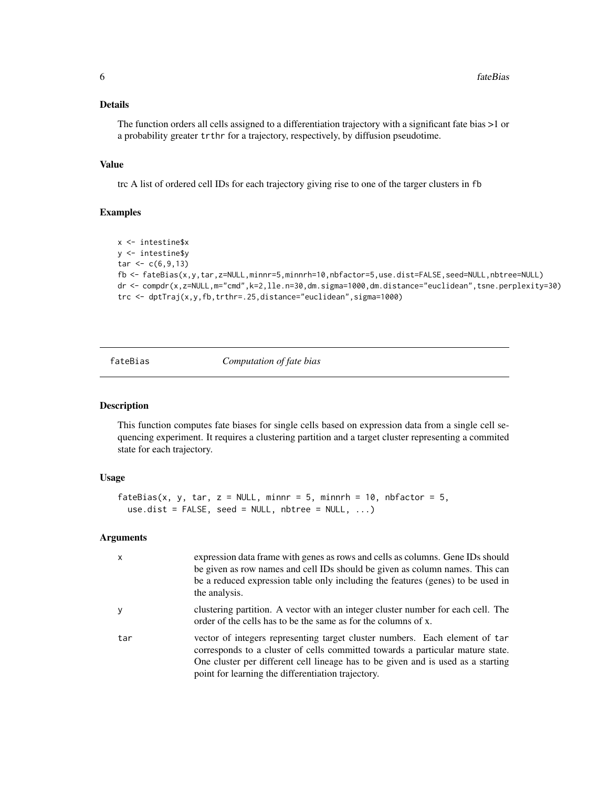### <span id="page-5-0"></span>Details

The function orders all cells assigned to a differentiation trajectory with a significant fate bias >1 or a probability greater trthr for a trajectory, respectively, by diffusion pseudotime.

#### Value

trc A list of ordered cell IDs for each trajectory giving rise to one of the targer clusters in fb

#### Examples

```
x <- intestine$x
y <- intestine$y
tar < c(6, 9, 13)fb <- fateBias(x,y,tar,z=NULL,minnr=5,minnrh=10,nbfactor=5,use.dist=FALSE,seed=NULL,nbtree=NULL)
dr <- compdr(x,z=NULL,m="cmd",k=2,lle.n=30,dm.sigma=1000,dm.distance="euclidean",tsne.perplexity=30)
trc <- dptTraj(x,y,fb,trthr=.25,distance="euclidean",sigma=1000)
```
fateBias *Computation of fate bias*

#### Description

This function computes fate biases for single cells based on expression data from a single cell sequencing experiment. It requires a clustering partition and a target cluster representing a commited state for each trajectory.

#### Usage

```
fateBias(x, y, tar, z = NULL, minnr = 5, minnrh = 10, nbfactor = 5,
 use.dist = FALSE, seed = NULL, white = NULL, ...
```

| $\mathsf{x}$ | expression data frame with genes as rows and cells as columns. Gene IDs should<br>be given as row names and cell IDs should be given as column names. This can<br>be a reduced expression table only including the features (genes) to be used in<br>the analysis.                                      |
|--------------|---------------------------------------------------------------------------------------------------------------------------------------------------------------------------------------------------------------------------------------------------------------------------------------------------------|
| <b>y</b>     | clustering partition. A vector with an integer cluster number for each cell. The<br>order of the cells has to be the same as for the columns of x.                                                                                                                                                      |
| tar          | vector of integers representing target cluster numbers. Each element of tar<br>corresponds to a cluster of cells committed towards a particular mature state.<br>One cluster per different cell lineage has to be given and is used as a starting<br>point for learning the differentiation trajectory. |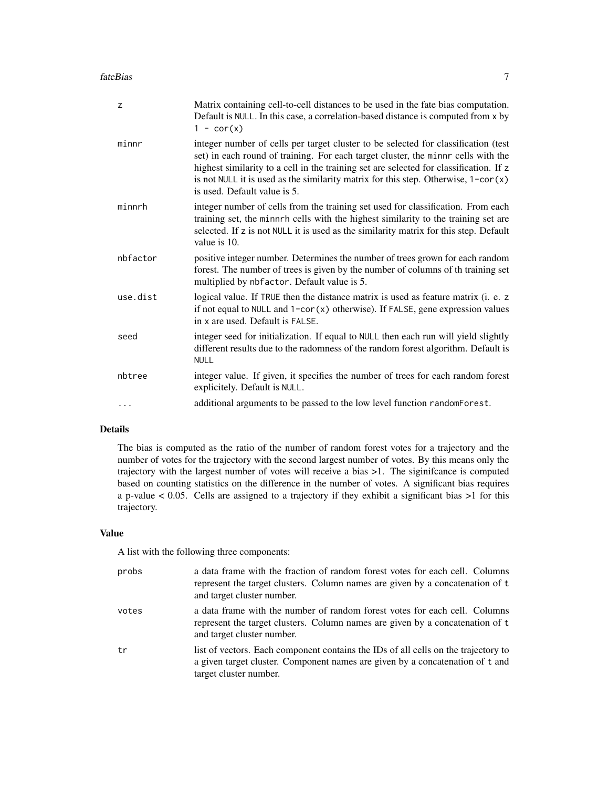| Z        | Matrix containing cell-to-cell distances to be used in the fate bias computation.<br>Default is NULL. In this case, a correlation-based distance is computed from x by<br>$1 - cor(x)$                                                                                                                                                                                                        |
|----------|-----------------------------------------------------------------------------------------------------------------------------------------------------------------------------------------------------------------------------------------------------------------------------------------------------------------------------------------------------------------------------------------------|
| minnr    | integer number of cells per target cluster to be selected for classification (test<br>set) in each round of training. For each target cluster, the minnr cells with the<br>highest similarity to a cell in the training set are selected for classification. If z<br>is not NULL it is used as the similarity matrix for this step. Otherwise, $1$ -cor $(x)$<br>is used. Default value is 5. |
| minnrh   | integer number of cells from the training set used for classification. From each<br>training set, the minnrh cells with the highest similarity to the training set are<br>selected. If z is not NULL it is used as the similarity matrix for this step. Default<br>value is 10.                                                                                                               |
| nbfactor | positive integer number. Determines the number of trees grown for each random<br>forest. The number of trees is given by the number of columns of th training set<br>multiplied by nbfactor. Default value is 5.                                                                                                                                                                              |
| use.dist | logical value. If TRUE then the distance matrix is used as feature matrix (i. e. z<br>if not equal to NULL and 1-cor(x) otherwise). If FALSE, gene expression values<br>in x are used. Default is FALSE.                                                                                                                                                                                      |
| seed     | integer seed for initialization. If equal to NULL then each run will yield slightly<br>different results due to the radomness of the random forest algorithm. Default is<br><b>NULL</b>                                                                                                                                                                                                       |
| nbtree   | integer value. If given, it specifies the number of trees for each random forest<br>explicitely. Default is NULL.                                                                                                                                                                                                                                                                             |
| .        | additional arguments to be passed to the low level function randomForest.                                                                                                                                                                                                                                                                                                                     |

# Details

The bias is computed as the ratio of the number of random forest votes for a trajectory and the number of votes for the trajectory with the second largest number of votes. By this means only the trajectory with the largest number of votes will receive a bias >1. The siginifcance is computed based on counting statistics on the difference in the number of votes. A significant bias requires a p-value < 0.05. Cells are assigned to a trajectory if they exhibit a significant bias >1 for this trajectory.

#### Value

A list with the following three components:

| probs | a data frame with the fraction of random forest votes for each cell. Columns<br>represent the target clusters. Column names are given by a concatenation of t<br>and target cluster number.   |
|-------|-----------------------------------------------------------------------------------------------------------------------------------------------------------------------------------------------|
| votes | a data frame with the number of random forest votes for each cell. Columns<br>represent the target clusters. Column names are given by a concatenation of t<br>and target cluster number.     |
| tr    | list of vectors. Each component contains the IDs of all cells on the trajectory to<br>a given target cluster. Component names are given by a concatenation of t and<br>target cluster number. |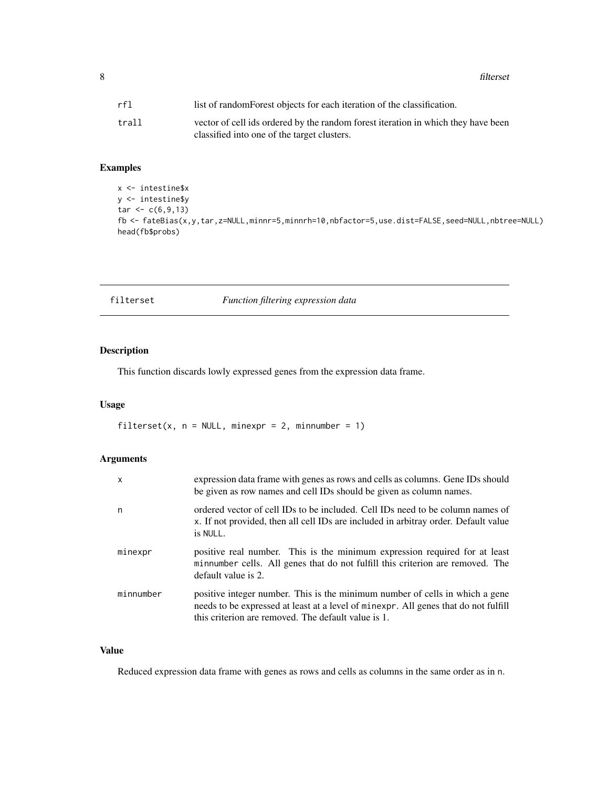<span id="page-7-0"></span>8 filterset

| rf1   | list of random Forest objects for each iteration of the classification.           |
|-------|-----------------------------------------------------------------------------------|
| trall | vector of cell ids ordered by the random forest iteration in which they have been |
|       | classified into one of the target clusters.                                       |

# Examples

```
x <- intestine$x
y <- intestine$y
tar < c(6, 9, 13)fb <- fateBias(x,y,tar,z=NULL,minnr=5,minnrh=10,nbfactor=5,use.dist=FALSE,seed=NULL,nbtree=NULL)
head(fb$probs)
```

| filterset |  | Function filtering expression data |  |
|-----------|--|------------------------------------|--|
|           |  |                                    |  |

# Description

This function discards lowly expressed genes from the expression data frame.

# Usage

filterset(x,  $n = NULL$ , minexpr = 2, minnumber = 1)

# Arguments

| $\mathsf{x}$ | expression data frame with genes as rows and cells as columns. Gene IDs should<br>be given as row names and cell IDs should be given as column names.                                                                      |
|--------------|----------------------------------------------------------------------------------------------------------------------------------------------------------------------------------------------------------------------------|
| n            | ordered vector of cell IDs to be included. Cell IDs need to be column names of<br>x. If not provided, then all cell IDs are included in arbitray order. Default value<br>is NULL.                                          |
| minexpr      | positive real number. This is the minimum expression required for at least<br>minnumber cells. All genes that do not fulfill this criterion are removed. The<br>default value is 2.                                        |
| minnumber    | positive integer number. This is the minimum number of cells in which a gene<br>needs to be expressed at least at a level of minexpr. All genes that do not fulfill<br>this criterion are removed. The default value is 1. |

# Value

Reduced expression data frame with genes as rows and cells as columns in the same order as in n.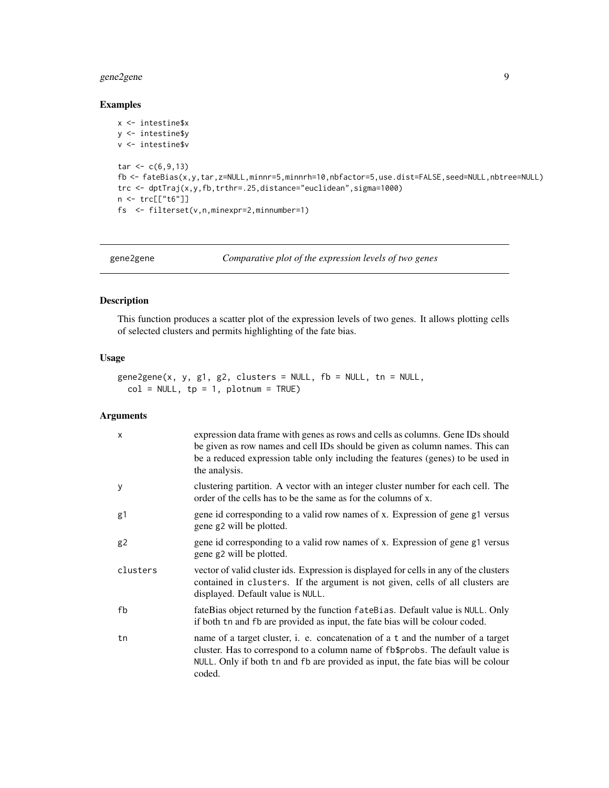# <span id="page-8-0"></span>gene2gene 9

#### Examples

```
x <- intestine$x
y <- intestine$y
v <- intestine$v
tar < c(6, 9, 13)fb <- fateBias(x,y,tar,z=NULL,minnr=5,minnrh=10,nbfactor=5,use.dist=FALSE,seed=NULL,nbtree=NULL)
trc <- dptTraj(x,y,fb,trthr=.25,distance="euclidean",sigma=1000)
n <- trc[["t6"]]
fs <- filterset(v,n,minexpr=2,minnumber=1)
```
gene2gene *Comparative plot of the expression levels of two genes*

# Description

This function produces a scatter plot of the expression levels of two genes. It allows plotting cells of selected clusters and permits highlighting of the fate bias.

## Usage

```
gene2gene(x, y, g1, g2, clusters = NULL, fb = NULL, tn = NULL,col = NULL, tp = 1, plotnum = TRUE)
```

| $\times$ | expression data frame with genes as rows and cells as columns. Gene IDs should<br>be given as row names and cell IDs should be given as column names. This can<br>be a reduced expression table only including the features (genes) to be used in<br>the analysis. |
|----------|--------------------------------------------------------------------------------------------------------------------------------------------------------------------------------------------------------------------------------------------------------------------|
| y        | clustering partition. A vector with an integer cluster number for each cell. The<br>order of the cells has to be the same as for the columns of x.                                                                                                                 |
| g1       | gene id corresponding to a valid row names of x. Expression of gene g1 versus<br>gene g2 will be plotted.                                                                                                                                                          |
| g2       | gene id corresponding to a valid row names of x. Expression of gene g1 versus<br>gene g2 will be plotted.                                                                                                                                                          |
| clusters | vector of valid cluster ids. Expression is displayed for cells in any of the clusters<br>contained in clusters. If the argument is not given, cells of all clusters are<br>displayed. Default value is NULL.                                                       |
| fb       | fateBias object returned by the function fateBias. Default value is NULL. Only<br>if both tn and fb are provided as input, the fate bias will be colour coded.                                                                                                     |
| tn       | name of a target cluster, i. e. concatenation of a t and the number of a target<br>cluster. Has to correspond to a column name of fb\$probs. The default value is<br>NULL. Only if both th and fb are provided as input, the fate bias will be colour<br>coded.    |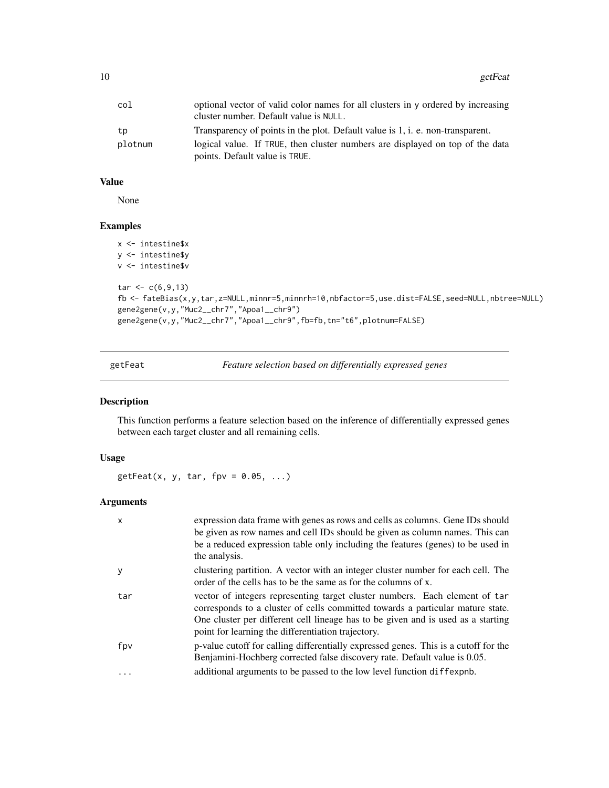<span id="page-9-0"></span>

| col     | optional vector of valid color names for all clusters in y ordered by increasing |
|---------|----------------------------------------------------------------------------------|
|         | cluster number. Default value is NULL.                                           |
| tp      | Transparency of points in the plot. Default value is 1, i. e. non-transparent.   |
| plotnum | logical value. If TRUE, then cluster numbers are displayed on top of the data    |
|         | points. Default value is TRUE.                                                   |

None

#### Examples

```
x <- intestine$x
y <- intestine$y
v <- intestine$v
tar < c(6, 9, 13)fb <- fateBias(x,y,tar,z=NULL,minnr=5,minnrh=10,nbfactor=5,use.dist=FALSE,seed=NULL,nbtree=NULL)
gene2gene(v,y,"Muc2__chr7","Apoa1__chr9")
gene2gene(v,y,"Muc2__chr7","Apoa1__chr9",fb=fb,tn="t6",plotnum=FALSE)
```
getFeat *Feature selection based on differentially expressed genes*

#### Description

This function performs a feature selection based on the inference of differentially expressed genes between each target cluster and all remaining cells.

#### Usage

 $getFeatures, y, tar, fpv = 0.05, ...)$ 

| $\mathsf{x}$ | expression data frame with genes as rows and cells as columns. Gene IDs should<br>be given as row names and cell IDs should be given as column names. This can<br>be a reduced expression table only including the features (genes) to be used in<br>the analysis.                                      |
|--------------|---------------------------------------------------------------------------------------------------------------------------------------------------------------------------------------------------------------------------------------------------------------------------------------------------------|
| y            | clustering partition. A vector with an integer cluster number for each cell. The<br>order of the cells has to be the same as for the columns of x.                                                                                                                                                      |
| tar          | vector of integers representing target cluster numbers. Each element of tar<br>corresponds to a cluster of cells committed towards a particular mature state.<br>One cluster per different cell lineage has to be given and is used as a starting<br>point for learning the differentiation trajectory. |
| fpv          | p-value cutoff for calling differentially expressed genes. This is a cutoff for the<br>Benjamini-Hochberg corrected false discovery rate. Default value is 0.05.                                                                                                                                        |
| $\ddots$     | additional arguments to be passed to the low level function diffexpnb.                                                                                                                                                                                                                                  |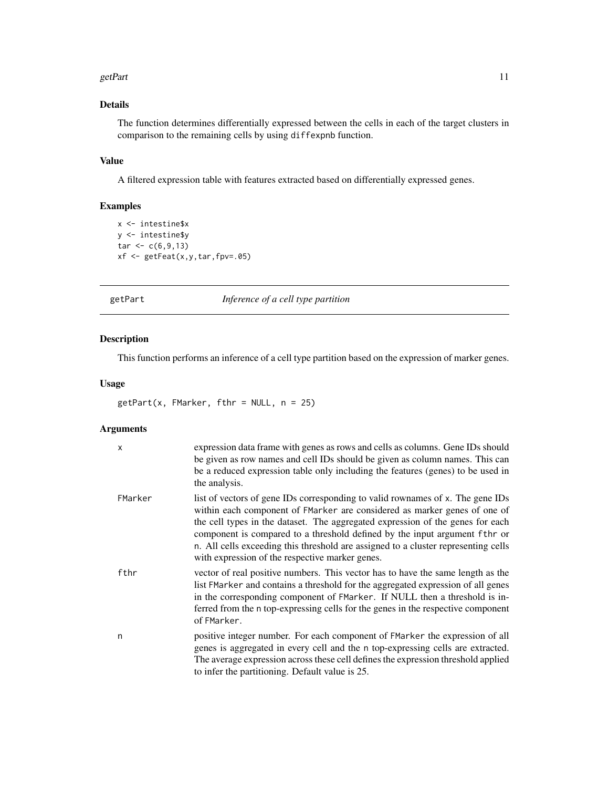#### <span id="page-10-0"></span>getPart 11

# Details

The function determines differentially expressed between the cells in each of the target clusters in comparison to the remaining cells by using diffexpnb function.

## Value

A filtered expression table with features extracted based on differentially expressed genes.

# Examples

```
x <- intestine$x
y <- intestine$y
tar < c(6, 9, 13)xf <- getFeat(x,y,tar,fpv=.05)
```
getPart *Inference of a cell type partition*

# Description

This function performs an inference of a cell type partition based on the expression of marker genes.

# Usage

 $getPart(x, FMarket, fthr = NULL, n = 25)$ 

| x       | expression data frame with genes as rows and cells as columns. Gene IDs should<br>be given as row names and cell IDs should be given as column names. This can<br>be a reduced expression table only including the features (genes) to be used in<br>the analysis.                                                                                                                                                                                                   |
|---------|----------------------------------------------------------------------------------------------------------------------------------------------------------------------------------------------------------------------------------------------------------------------------------------------------------------------------------------------------------------------------------------------------------------------------------------------------------------------|
| FMarker | list of vectors of gene IDs corresponding to valid rownames of x. The gene IDs<br>within each component of FMarker are considered as marker genes of one of<br>the cell types in the dataset. The aggregated expression of the genes for each<br>component is compared to a threshold defined by the input argument fthr or<br>n. All cells exceeding this threshold are assigned to a cluster representing cells<br>with expression of the respective marker genes. |
| fthr    | vector of real positive numbers. This vector has to have the same length as the<br>list FMarker and contains a threshold for the aggregated expression of all genes<br>in the corresponding component of FMarker. If NULL then a threshold is in-<br>ferred from the n top-expressing cells for the genes in the respective component<br>of FMarker.                                                                                                                 |
| n       | positive integer number. For each component of FMarker the expression of all<br>genes is aggregated in every cell and the n top-expressing cells are extracted.<br>The average expression across these cell defines the expression threshold applied<br>to infer the partitioning. Default value is 25.                                                                                                                                                              |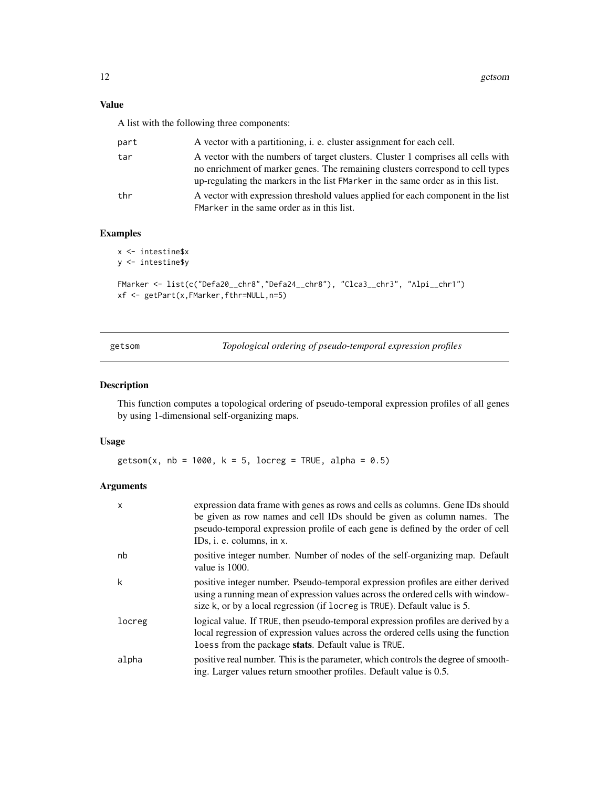<span id="page-11-0"></span>A list with the following three components:

| part | A vector with a partitioning, i. e. cluster assignment for each cell.                                                                                                                                                                                  |
|------|--------------------------------------------------------------------------------------------------------------------------------------------------------------------------------------------------------------------------------------------------------|
| tar  | A vector with the numbers of target clusters. Cluster 1 comprises all cells with<br>no enrichment of marker genes. The remaining clusters correspond to cell types<br>up-regulating the markers in the list FMarker in the same order as in this list. |
| thr  | A vector with expression threshold values applied for each component in the list<br>FMarker in the same order as in this list.                                                                                                                         |

# Examples

```
x <- intestine$x
y <- intestine$y
FMarker <- list(c("Defa20__chr8","Defa24__chr8"), "Clca3__chr3", "Alpi__chr1")
xf <- getPart(x,FMarker,fthr=NULL,n=5)
```
getsom *Topological ordering of pseudo-temporal expression profiles*

#### Description

This function computes a topological ordering of pseudo-temporal expression profiles of all genes by using 1-dimensional self-organizing maps.

#### Usage

getsom(x, nb = 1000, k = 5, locreg = TRUE, alpha =  $0.5$ )

| x      | expression data frame with genes as rows and cells as columns. Gene IDs should<br>be given as row names and cell IDs should be given as column names. The<br>pseudo-temporal expression profile of each gene is defined by the order of cell<br>IDs, i. e. columns, in x. |
|--------|---------------------------------------------------------------------------------------------------------------------------------------------------------------------------------------------------------------------------------------------------------------------------|
| nb     | positive integer number. Number of nodes of the self-organizing map. Default<br>value is 1000.                                                                                                                                                                            |
| k      | positive integer number. Pseudo-temporal expression profiles are either derived<br>using a running mean of expression values across the ordered cells with window-<br>size k, or by a local regression (if locreg is TRUE). Default value is 5.                           |
| locreg | logical value. If TRUE, then pseudo-temporal expression profiles are derived by a<br>local regression of expression values across the ordered cells using the function<br>loess from the package stats. Default value is TRUE.                                            |
| alpha  | positive real number. This is the parameter, which controls the degree of smooth-<br>ing. Larger values return smoother profiles. Default value is 0.5.                                                                                                                   |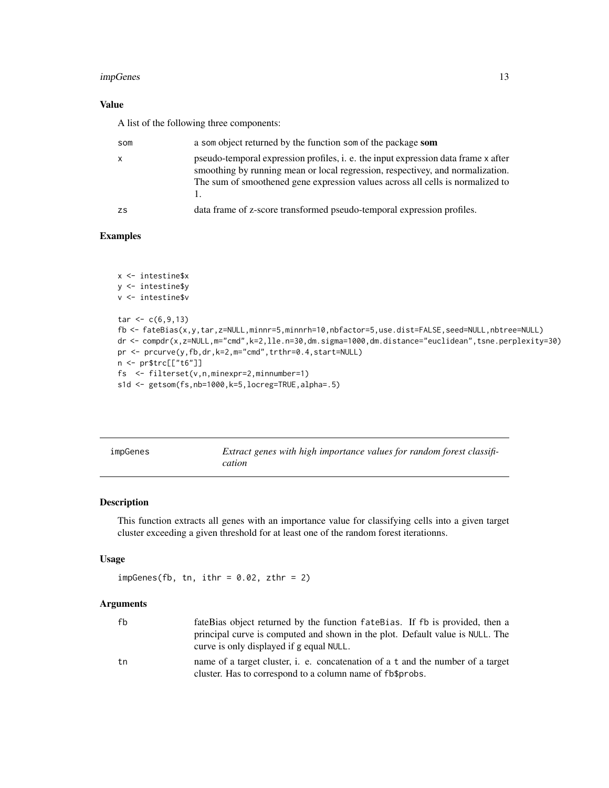#### <span id="page-12-0"></span>impGenes and the set of the set of the set of the set of the set of the set of the set of the set of the set of the set of the set of the set of the set of the set of the set of the set of the set of the set of the set of

# Value

A list of the following three components:

| som       | a som object returned by the function som of the package som                                                                                                                                                                                           |
|-----------|--------------------------------------------------------------------------------------------------------------------------------------------------------------------------------------------------------------------------------------------------------|
| X         | pseudo-temporal expression profiles, i. e. the input expression data frame x after<br>smoothing by running mean or local regression, respectivey, and normalization.<br>The sum of smoothened gene expression values across all cells is normalized to |
| <b>ZS</b> | data frame of z-score transformed pseudo-temporal expression profiles.                                                                                                                                                                                 |

# Examples

```
x <- intestine$x
y <- intestine$y
v <- intestine$v
tar < c(6, 9, 13)fb <- fateBias(x,y,tar,z=NULL,minnr=5,minnrh=10,nbfactor=5,use.dist=FALSE,seed=NULL,nbtree=NULL)
dr <- compdr(x,z=NULL,m="cmd",k=2,lle.n=30,dm.sigma=1000,dm.distance="euclidean",tsne.perplexity=30)
pr <- prcurve(y,fb,dr,k=2,m="cmd",trthr=0.4,start=NULL)
n <- pr$trc[["t6"]]
fs <- filterset(v,n,minexpr=2,minnumber=1)
s1d <- getsom(fs,nb=1000,k=5,locreg=TRUE,alpha=.5)
```

| impGenes | Extract genes with high importance values for random forest classifi- |
|----------|-----------------------------------------------------------------------|
|          | cation                                                                |

#### Description

This function extracts all genes with an importance value for classifying cells into a given target cluster exceeding a given threshold for at least one of the random forest iterationns.

#### Usage

 $impGenes(fb, tn, ithr = 0.02, zthr = 2)$ 

| fb | fateBias object returned by the function fateBias. If fb is provided, then a                                                                 |
|----|----------------------------------------------------------------------------------------------------------------------------------------------|
|    | principal curve is computed and shown in the plot. Default value is NULL. The<br>curve is only displayed if g equal NULL.                    |
| tn | name of a target cluster, i. e. concatenation of a t and the number of a target<br>cluster. Has to correspond to a column name of fb\$probs. |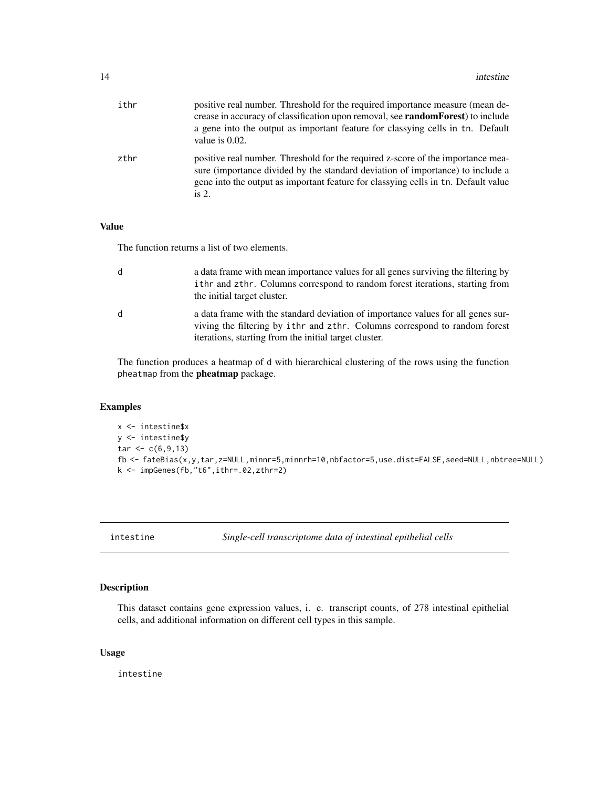<span id="page-13-0"></span>

| ithr | positive real number. Threshold for the required importance measure (mean de-<br>crease in accuracy of classification upon removal, see <b>randomForest</b> ) to include<br>a gene into the output as important feature for classying cells in the Default<br>value is 0.02. |
|------|------------------------------------------------------------------------------------------------------------------------------------------------------------------------------------------------------------------------------------------------------------------------------|
| zthr | positive real number. Threshold for the required z-score of the importance mea-<br>sure (importance divided by the standard deviation of importance) to include a<br>gene into the output as important feature for classying cells in the Default value<br>is $2.$           |

The function returns a list of two elements.

| d | a data frame with mean importance values for all genes surviving the filtering by<br>ithr and zthr. Columns correspond to random forest iterations, starting from<br>the initial target cluster.                        |
|---|-------------------------------------------------------------------------------------------------------------------------------------------------------------------------------------------------------------------------|
| d | a data frame with the standard deviation of importance values for all genes sur-<br>viving the filtering by ithr and zthr. Columns correspond to random forest<br>iterations, starting from the initial target cluster. |

The function produces a heatmap of d with hierarchical clustering of the rows using the function pheatmap from the pheatmap package.

# Examples

```
x <- intestine$x
y <- intestine$y
tar < c(6, 9, 13)fb <- fateBias(x,y,tar,z=NULL,minnr=5,minnrh=10,nbfactor=5,use.dist=FALSE,seed=NULL,nbtree=NULL)
k <- impGenes(fb,"t6",ithr=.02,zthr=2)
```
intestine *Single-cell transcriptome data of intestinal epithelial cells*

#### Description

This dataset contains gene expression values, i. e. transcript counts, of 278 intestinal epithelial cells, and additional information on different cell types in this sample.

# Usage

intestine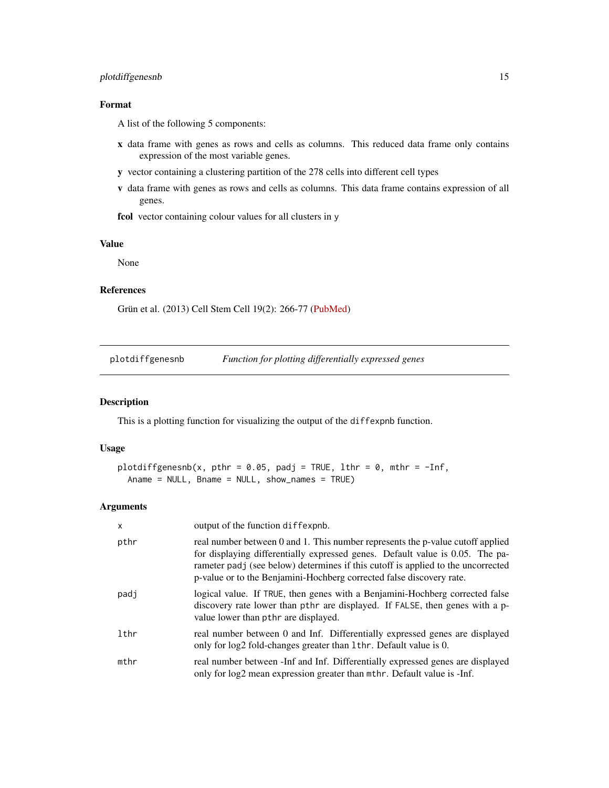# <span id="page-14-0"></span>plotdiffgenesnb 15

# Format

A list of the following 5 components:

- x data frame with genes as rows and cells as columns. This reduced data frame only contains expression of the most variable genes.
- y vector containing a clustering partition of the 278 cells into different cell types
- v data frame with genes as rows and cells as columns. This data frame contains expression of all genes.

fcol vector containing colour values for all clusters in y

#### Value

None

# References

Grün et al. (2013) Cell Stem Cell 19(2): 266-77 [\(PubMed\)](https://www.ncbi.nlm.nih.gov/pubmed/27345837)

plotdiffgenesnb *Function for plotting differentially expressed genes*

#### Description

This is a plotting function for visualizing the output of the diffexpnb function.

#### Usage

```
plotdiffgenesnb(x, pthr = 0.05, padj = TRUE, lthr = 0, mthr = -Inf,
  Aname = NULL, Bname = NULL, show_names = TRUE)
```

| $\mathsf{x}$ | output of the function diffexpnb.                                                                                                                                                                                                                                                                                           |
|--------------|-----------------------------------------------------------------------------------------------------------------------------------------------------------------------------------------------------------------------------------------------------------------------------------------------------------------------------|
| pthr         | real number between 0 and 1. This number represents the p-value cutoff applied<br>for displaying differentially expressed genes. Default value is 0.05. The pa-<br>rameter padj (see below) determines if this cutoff is applied to the uncorrected<br>p-value or to the Benjamini-Hochberg corrected false discovery rate. |
| padj         | logical value. If TRUE, then genes with a Benjamini-Hochberg corrected false<br>discovery rate lower than pthr are displayed. If FALSE, then genes with a p-<br>value lower than pthr are displayed.                                                                                                                        |
| lthr         | real number between 0 and Inf. Differentially expressed genes are displayed<br>only for log2 fold-changes greater than 1thr. Default value is 0.                                                                                                                                                                            |
| mthr         | real number between -Inf and Inf. Differentially expressed genes are displayed<br>only for log2 mean expression greater than mthr. Default value is -Inf.                                                                                                                                                                   |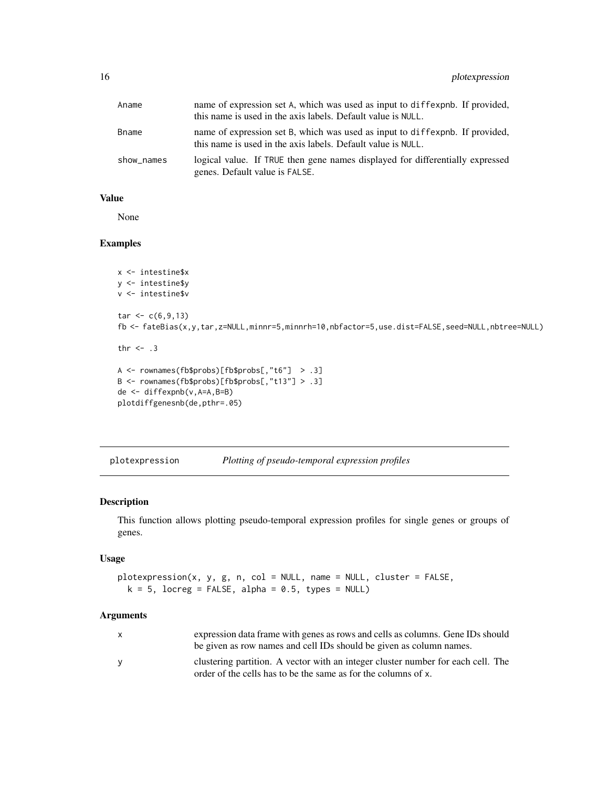<span id="page-15-0"></span>

| Aname      | name of expression set A, which was used as input to diffexpnb. If provided,<br>this name is used in the axis labels. Default value is NULL. |
|------------|----------------------------------------------------------------------------------------------------------------------------------------------|
| Bname      | name of expression set B, which was used as input to diffexpnb. If provided,<br>this name is used in the axis labels. Default value is NULL. |
| show_names | logical value. If TRUE then gene names displayed for differentially expressed<br>genes. Default value is FALSE.                              |

None

# Examples

```
x <- intestine$x
y <- intestine$y
v <- intestine$v
tar < c(6, 9, 13)fb <- fateBias(x,y,tar,z=NULL,minnr=5,minnrh=10,nbfactor=5,use.dist=FALSE,seed=NULL,nbtree=NULL)
thr <-3A <- rownames(fb$probs)[fb$probs[,"t6"] > .3]
B <- rownames(fb$probs)[fb$probs[,"t13"] > .3]
de <- diffexpnb(v,A=A,B=B)
plotdiffgenesnb(de,pthr=.05)
```
plotexpression *Plotting of pseudo-temporal expression profiles*

#### Description

This function allows plotting pseudo-temporal expression profiles for single genes or groups of genes.

# Usage

```
plotexpression(x, y, g, n, col = NULL, name = NULL, cluster = FALSE,
 k = 5, locreg = FALSE, alpha = 0.5, types = NULL)
```

| x | expression data frame with genes as rows and cells as columns. Gene IDs should   |
|---|----------------------------------------------------------------------------------|
|   | be given as row names and cell IDs should be given as column names.              |
| v | clustering partition. A vector with an integer cluster number for each cell. The |
|   | order of the cells has to be the same as for the columns of x.                   |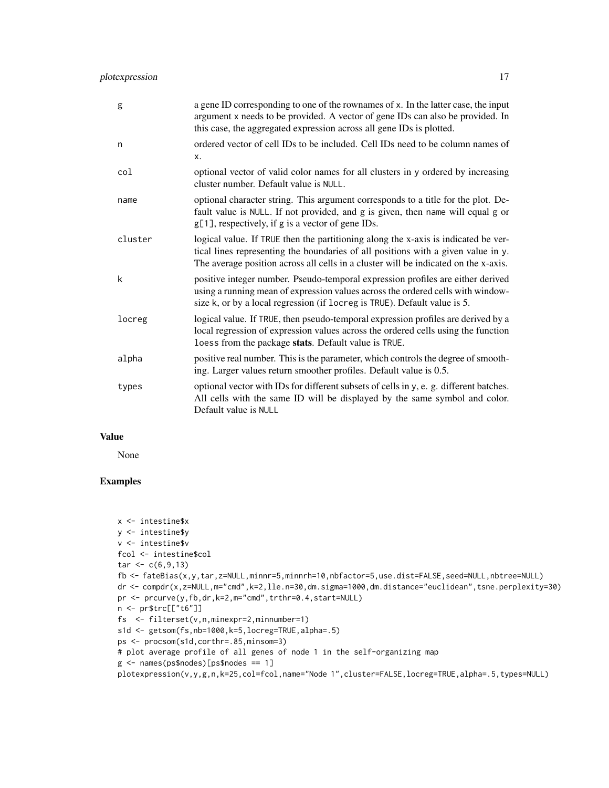| g       | a gene ID corresponding to one of the rownames of x. In the latter case, the input<br>argument x needs to be provided. A vector of gene IDs can also be provided. In<br>this case, the aggregated expression across all gene IDs is plotted.                   |
|---------|----------------------------------------------------------------------------------------------------------------------------------------------------------------------------------------------------------------------------------------------------------------|
| n       | ordered vector of cell IDs to be included. Cell IDs need to be column names of<br>X.                                                                                                                                                                           |
| col     | optional vector of valid color names for all clusters in y ordered by increasing<br>cluster number. Default value is NULL.                                                                                                                                     |
| name    | optional character string. This argument corresponds to a title for the plot. De-<br>fault value is NULL. If not provided, and g is given, then name will equal g or<br>g[1], respectively, if g is a vector of gene IDs.                                      |
| cluster | logical value. If TRUE then the partitioning along the x-axis is indicated be ver-<br>tical lines representing the boundaries of all positions with a given value in y.<br>The average position across all cells in a cluster will be indicated on the x-axis. |
| k       | positive integer number. Pseudo-temporal expression profiles are either derived<br>using a running mean of expression values across the ordered cells with window-<br>size k, or by a local regression (if locreg is TRUE). Default value is 5.                |
| locreg  | logical value. If TRUE, then pseudo-temporal expression profiles are derived by a<br>local regression of expression values across the ordered cells using the function<br>loess from the package stats. Default value is TRUE.                                 |
| alpha   | positive real number. This is the parameter, which controls the degree of smooth-<br>ing. Larger values return smoother profiles. Default value is 0.5.                                                                                                        |
| types   | optional vector with IDs for different subsets of cells in y, e. g. different batches.<br>All cells with the same ID will be displayed by the same symbol and color.<br>Default value is NULL                                                                  |

None

# Examples

```
x <- intestine$x
y <- intestine$y
v <- intestine$v
fcol <- intestine$col
tar < c(6, 9, 13)fb <- fateBias(x,y,tar,z=NULL,minnr=5,minnrh=10,nbfactor=5,use.dist=FALSE,seed=NULL,nbtree=NULL)
dr <- compdr(x,z=NULL,m="cmd",k=2,lle.n=30,dm.sigma=1000,dm.distance="euclidean",tsne.perplexity=30)
pr <- prcurve(y,fb,dr,k=2,m="cmd",trthr=0.4,start=NULL)
n <- pr$trc[["t6"]]
fs <- filterset(v,n,minexpr=2,minnumber=1)
s1d <- getsom(fs,nb=1000,k=5,locreg=TRUE,alpha=.5)
ps <- procsom(s1d,corthr=.85,minsom=3)
# plot average profile of all genes of node 1 in the self-organizing map
g <- names(ps$nodes)[ps$nodes == 1]
plotexpression(v,y,g,n,k=25,col=fcol,name="Node 1",cluster=FALSE,locreg=TRUE,alpha=.5,types=NULL)
```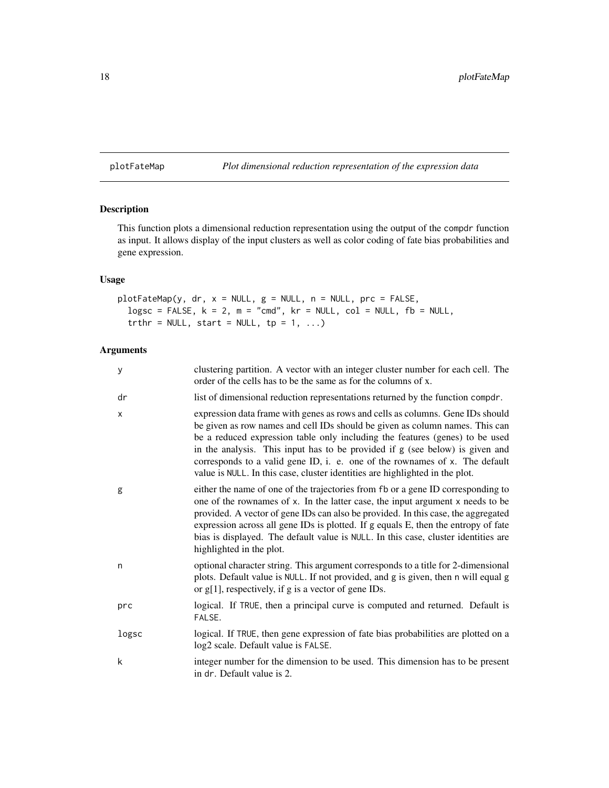# <span id="page-17-0"></span>plotFateMap *Plot dimensional reduction representation of the expression data*

### Description

This function plots a dimensional reduction representation using the output of the compdr function as input. It allows display of the input clusters as well as color coding of fate bias probabilities and gene expression.

# Usage

```
plotFateMap(y, dr, x = NULL, g = NULL, n = NULL, prc = FALSE,
  logsc = FALSE, k = 2, m = "cmd", kr = NULL, col = NULL, fb = NULL,truthr = NULL, start = NULL, tp = 1, ...)
```

| y     | clustering partition. A vector with an integer cluster number for each cell. The<br>order of the cells has to be the same as for the columns of x.                                                                                                                                                                                                                                                                                                                                            |
|-------|-----------------------------------------------------------------------------------------------------------------------------------------------------------------------------------------------------------------------------------------------------------------------------------------------------------------------------------------------------------------------------------------------------------------------------------------------------------------------------------------------|
| dr    | list of dimensional reduction representations returned by the function compdr.                                                                                                                                                                                                                                                                                                                                                                                                                |
| X     | expression data frame with genes as rows and cells as columns. Gene IDs should<br>be given as row names and cell IDs should be given as column names. This can<br>be a reduced expression table only including the features (genes) to be used<br>in the analysis. This input has to be provided if g (see below) is given and<br>corresponds to a valid gene ID, i. e. one of the rownames of x. The default<br>value is NULL. In this case, cluster identities are highlighted in the plot. |
| g     | either the name of one of the trajectories from fb or a gene ID corresponding to<br>one of the rownames of x. In the latter case, the input argument x needs to be<br>provided. A vector of gene IDs can also be provided. In this case, the aggregated<br>expression across all gene IDs is plotted. If g equals E, then the entropy of fate<br>bias is displayed. The default value is NULL. In this case, cluster identities are<br>highlighted in the plot.                               |
| n     | optional character string. This argument corresponds to a title for 2-dimensional<br>plots. Default value is NULL. If not provided, and g is given, then n will equal g<br>or $g[1]$ , respectively, if g is a vector of gene IDs.                                                                                                                                                                                                                                                            |
| prc   | logical. If TRUE, then a principal curve is computed and returned. Default is<br>FALSE.                                                                                                                                                                                                                                                                                                                                                                                                       |
| logsc | logical. If TRUE, then gene expression of fate bias probabilities are plotted on a<br>log2 scale. Default value is FALSE.                                                                                                                                                                                                                                                                                                                                                                     |
| k     | integer number for the dimension to be used. This dimension has to be present<br>in dr. Default value is 2.                                                                                                                                                                                                                                                                                                                                                                                   |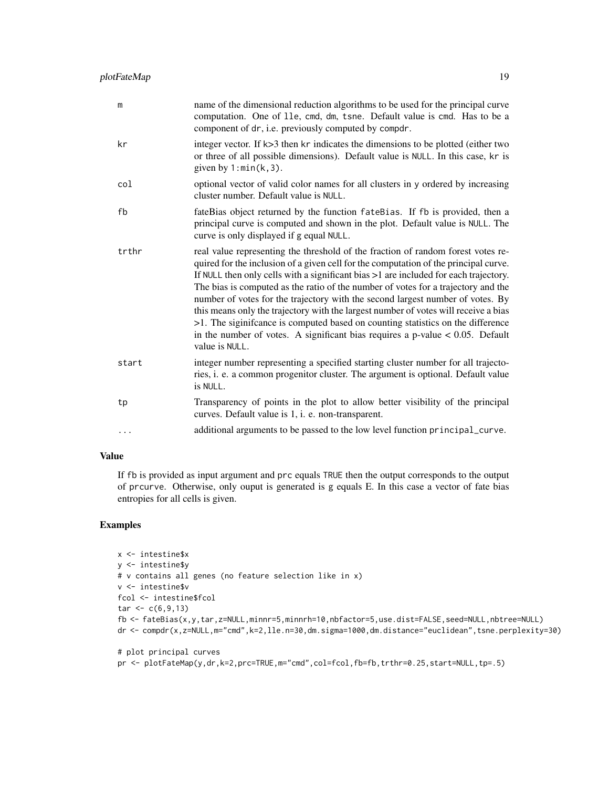| m        | name of the dimensional reduction algorithms to be used for the principal curve<br>computation. One of 11e, cmd, dm, tsne. Default value is cmd. Has to be a<br>component of dr, i.e. previously computed by compdr.                                                                                                                                                                                                                                                                                                                                                                                                                                                                                                     |
|----------|--------------------------------------------------------------------------------------------------------------------------------------------------------------------------------------------------------------------------------------------------------------------------------------------------------------------------------------------------------------------------------------------------------------------------------------------------------------------------------------------------------------------------------------------------------------------------------------------------------------------------------------------------------------------------------------------------------------------------|
| kr       | integer vector. If k>3 then kr indicates the dimensions to be plotted (either two<br>or three of all possible dimensions). Default value is NULL. In this case, kr is<br>given by $1: min(k, 3)$ .                                                                                                                                                                                                                                                                                                                                                                                                                                                                                                                       |
| col      | optional vector of valid color names for all clusters in y ordered by increasing<br>cluster number. Default value is NULL.                                                                                                                                                                                                                                                                                                                                                                                                                                                                                                                                                                                               |
| fb       | fateBias object returned by the function fateBias. If fb is provided, then a<br>principal curve is computed and shown in the plot. Default value is NULL. The<br>curve is only displayed if g equal NULL.                                                                                                                                                                                                                                                                                                                                                                                                                                                                                                                |
| trthr    | real value representing the threshold of the fraction of random forest votes re-<br>quired for the inclusion of a given cell for the computation of the principal curve.<br>If NULL then only cells with a significant bias >1 are included for each trajectory.<br>The bias is computed as the ratio of the number of votes for a trajectory and the<br>number of votes for the trajectory with the second largest number of votes. By<br>this means only the trajectory with the largest number of votes will receive a bias<br>>1. The siginificance is computed based on counting statistics on the difference<br>in the number of votes. A significant bias requires a p-value $< 0.05$ . Default<br>value is NULL. |
| start    | integer number representing a specified starting cluster number for all trajecto-<br>ries, i. e. a common progenitor cluster. The argument is optional. Default value<br>is NULL.                                                                                                                                                                                                                                                                                                                                                                                                                                                                                                                                        |
| tp       | Transparency of points in the plot to allow better visibility of the principal<br>curves. Default value is 1, i. e. non-transparent.                                                                                                                                                                                                                                                                                                                                                                                                                                                                                                                                                                                     |
| $\cdots$ | additional arguments to be passed to the low level function principal_curve.                                                                                                                                                                                                                                                                                                                                                                                                                                                                                                                                                                                                                                             |

If fb is provided as input argument and prc equals TRUE then the output corresponds to the output of prcurve. Otherwise, only ouput is generated is g equals E. In this case a vector of fate bias entropies for all cells is given.

# Examples

```
x <- intestine$x
y <- intestine$y
# v contains all genes (no feature selection like in x)
v <- intestine$v
fcol <- intestine$fcol
tar < c(6, 9, 13)fb <- fateBias(x,y,tar,z=NULL,minnr=5,minnrh=10,nbfactor=5,use.dist=FALSE,seed=NULL,nbtree=NULL)
dr <- compdr(x,z=NULL,m="cmd",k=2,lle.n=30,dm.sigma=1000,dm.distance="euclidean",tsne.perplexity=30)
```

```
# plot principal curves
pr <- plotFateMap(y,dr,k=2,prc=TRUE,m="cmd",col=fcol,fb=fb,trthr=0.25,start=NULL,tp=.5)
```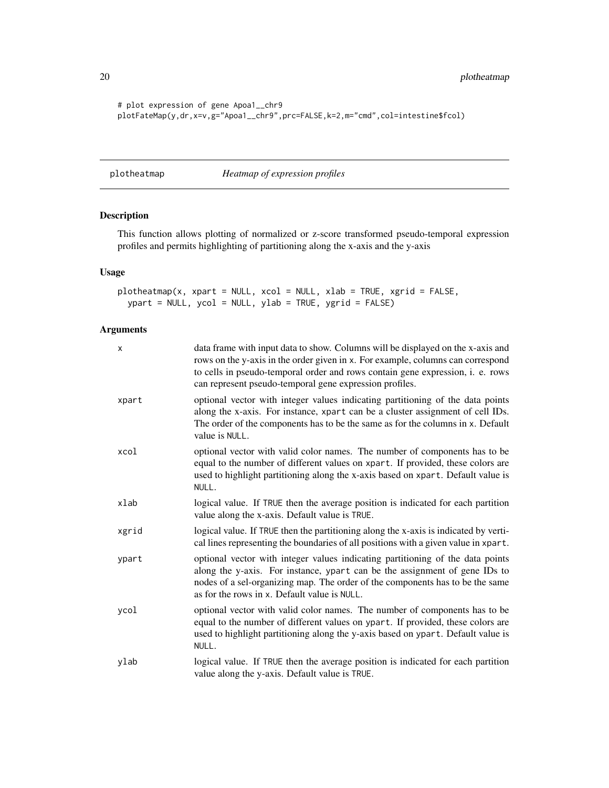<span id="page-19-0"></span>20 plotheatmap

```
# plot expression of gene Apoa1__chr9
plotFateMap(y,dr,x=v,g="Apoa1__chr9",prc=FALSE,k=2,m="cmd",col=intestine$fcol)
```
plotheatmap *Heatmap of expression profiles*

# Description

This function allows plotting of normalized or z-score transformed pseudo-temporal expression profiles and permits highlighting of partitioning along the x-axis and the y-axis

# Usage

```
plotheatmap(x, xpart = NULL, xcol = NULL, xlab = TRUE, xgrid = FALSE,ypart = NULL, ycol = NULL, ylab = TRUE, ygrid = FALSE)
```

| X     | data frame with input data to show. Columns will be displayed on the x-axis and<br>rows on the y-axis in the order given in x. For example, columns can correspond<br>to cells in pseudo-temporal order and rows contain gene expression, i. e. rows<br>can represent pseudo-temporal gene expression profiles. |
|-------|-----------------------------------------------------------------------------------------------------------------------------------------------------------------------------------------------------------------------------------------------------------------------------------------------------------------|
| xpart | optional vector with integer values indicating partitioning of the data points<br>along the x-axis. For instance, xpart can be a cluster assignment of cell IDs.<br>The order of the components has to be the same as for the columns in x. Default<br>value is NULL.                                           |
| xcol  | optional vector with valid color names. The number of components has to be<br>equal to the number of different values on xpart. If provided, these colors are<br>used to highlight partitioning along the x-axis based on xpart. Default value is<br>NULL.                                                      |
| xlab  | logical value. If TRUE then the average position is indicated for each partition<br>value along the x-axis. Default value is TRUE.                                                                                                                                                                              |
| xgrid | logical value. If TRUE then the partitioning along the x-axis is indicated by verti-<br>cal lines representing the boundaries of all positions with a given value in xpart.                                                                                                                                     |
| ypart | optional vector with integer values indicating partitioning of the data points<br>along the y-axis. For instance, ypart can be the assignment of gene IDs to<br>nodes of a sel-organizing map. The order of the components has to be the same<br>as for the rows in x. Default value is NULL.                   |
| ycol  | optional vector with valid color names. The number of components has to be<br>equal to the number of different values on ypart. If provided, these colors are<br>used to highlight partitioning along the y-axis based on ypart. Default value is<br>NULL.                                                      |
| ylab  | logical value. If TRUE then the average position is indicated for each partition<br>value along the y-axis. Default value is TRUE.                                                                                                                                                                              |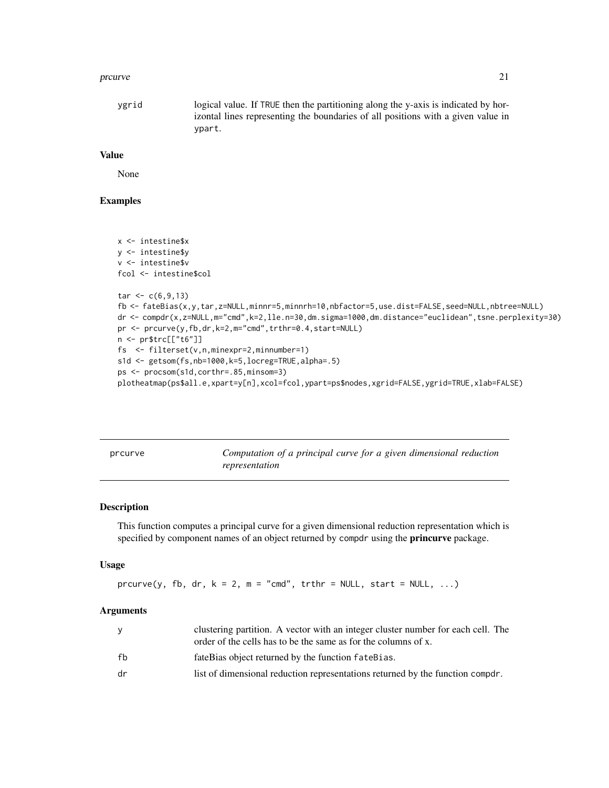#### <span id="page-20-0"></span>prcurve 21

ygrid logical value. If TRUE then the partitioning along the y-axis is indicated by horizontal lines representing the boundaries of all positions with a given value in ypart.

#### Value

None

# Examples

```
x <- intestine$x
y <- intestine$y
v <- intestine$v
fcol <- intestine$col
tar < c(6, 9, 13)fb <- fateBias(x,y,tar,z=NULL,minnr=5,minnrh=10,nbfactor=5,use.dist=FALSE,seed=NULL,nbtree=NULL)
dr <- compdr(x,z=NULL,m="cmd",k=2,lle.n=30,dm.sigma=1000,dm.distance="euclidean",tsne.perplexity=30)
pr <- prcurve(y,fb,dr,k=2,m="cmd",trthr=0.4,start=NULL)
n <- pr$trc[["t6"]]
fs <- filterset(v,n,minexpr=2,minnumber=1)
s1d <- getsom(fs,nb=1000,k=5,locreg=TRUE,alpha=.5)
ps <- procsom(s1d,corthr=.85,minsom=3)
plotheatmap(ps$all.e,xpart=y[n],xcol=fcol,ypart=ps$nodes,xgrid=FALSE,ygrid=TRUE,xlab=FALSE)
```

|  |  | prcurve |  |
|--|--|---------|--|
|  |  |         |  |

*Computation of a principal curve for a given dimensional reduction representation*

#### Description

This function computes a principal curve for a given dimensional reduction representation which is specified by component names of an object returned by compdr using the **princurve** package.

#### Usage

 $prcurve(y, fb, dr, k = 2, m = "cmd", trthr = NULL, start = NULL, ...)$ 

| ۷  | clustering partition. A vector with an integer cluster number for each cell. The<br>order of the cells has to be the same as for the columns of x. |
|----|----------------------------------------------------------------------------------------------------------------------------------------------------|
| fh | fateBias object returned by the function fateBias.                                                                                                 |
| dr | list of dimensional reduction representations returned by the function compdr.                                                                     |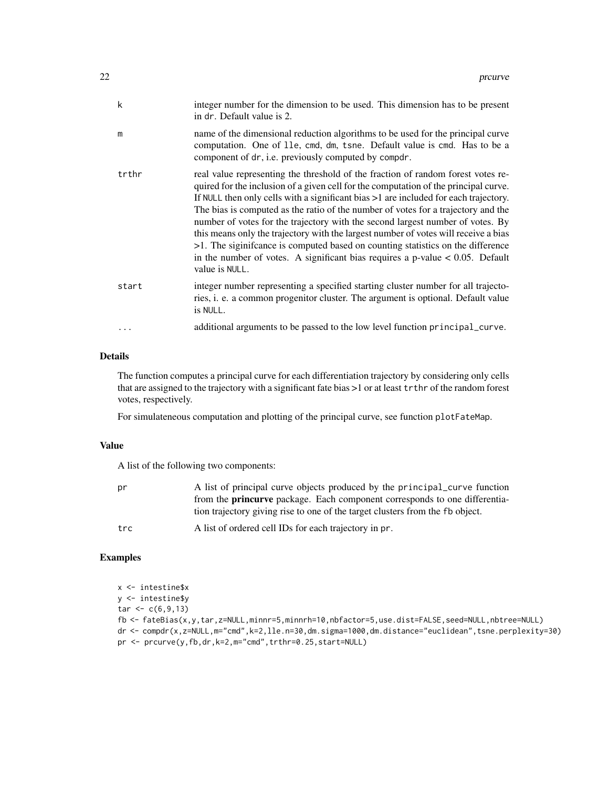| k     | integer number for the dimension to be used. This dimension has to be present<br>in dr. Default value is 2.                                                                                                                                                                                                                                                                                                                                                                                                                                                                                                                                                                                                                |
|-------|----------------------------------------------------------------------------------------------------------------------------------------------------------------------------------------------------------------------------------------------------------------------------------------------------------------------------------------------------------------------------------------------------------------------------------------------------------------------------------------------------------------------------------------------------------------------------------------------------------------------------------------------------------------------------------------------------------------------------|
| m     | name of the dimensional reduction algorithms to be used for the principal curve<br>computation. One of 11e, cmd, dm, tsne. Default value is cmd. Has to be a<br>component of dr, i.e. previously computed by compdr.                                                                                                                                                                                                                                                                                                                                                                                                                                                                                                       |
| trthr | real value representing the threshold of the fraction of random forest votes re-<br>quired for the inclusion of a given cell for the computation of the principal curve.<br>If NULL then only cells with a significant bias $>1$ are included for each trajectory.<br>The bias is computed as the ratio of the number of votes for a trajectory and the<br>number of votes for the trajectory with the second largest number of votes. By<br>this means only the trajectory with the largest number of votes will receive a bias<br>>1. The siginificance is computed based on counting statistics on the difference<br>in the number of votes. A significant bias requires a p-value $< 0.05$ . Default<br>value is NULL. |
| start | integer number representing a specified starting cluster number for all trajecto-<br>ries, i. e. a common progenitor cluster. The argument is optional. Default value<br>is NULL.                                                                                                                                                                                                                                                                                                                                                                                                                                                                                                                                          |
| .     | additional arguments to be passed to the low level function principal_curve.                                                                                                                                                                                                                                                                                                                                                                                                                                                                                                                                                                                                                                               |
|       |                                                                                                                                                                                                                                                                                                                                                                                                                                                                                                                                                                                                                                                                                                                            |

# Details

The function computes a principal curve for each differentiation trajectory by considering only cells that are assigned to the trajectory with a significant fate bias >1 or at least trthr of the random forest votes, respectively.

For simulateneous computation and plotting of the principal curve, see function plotFateMap.

# Value

A list of the following two components:

| pr  | A list of principal curve objects produced by the principal curve function<br>from the <b>princurve</b> package. Each component corresponds to one differentia- |
|-----|-----------------------------------------------------------------------------------------------------------------------------------------------------------------|
|     | tion trajectory giving rise to one of the target clusters from the fb object.                                                                                   |
| trc | A list of ordered cell IDs for each trajectory in pr.                                                                                                           |

# Examples

x <- intestine\$x y <- intestine\$y  $tar < -c(6, 9, 13)$ fb <- fateBias(x,y,tar,z=NULL,minnr=5,minnrh=10,nbfactor=5,use.dist=FALSE,seed=NULL,nbtree=NULL) dr <- compdr(x,z=NULL,m="cmd",k=2,lle.n=30,dm.sigma=1000,dm.distance="euclidean",tsne.perplexity=30) pr <- prcurve(y,fb,dr,k=2,m="cmd",trthr=0.25,start=NULL)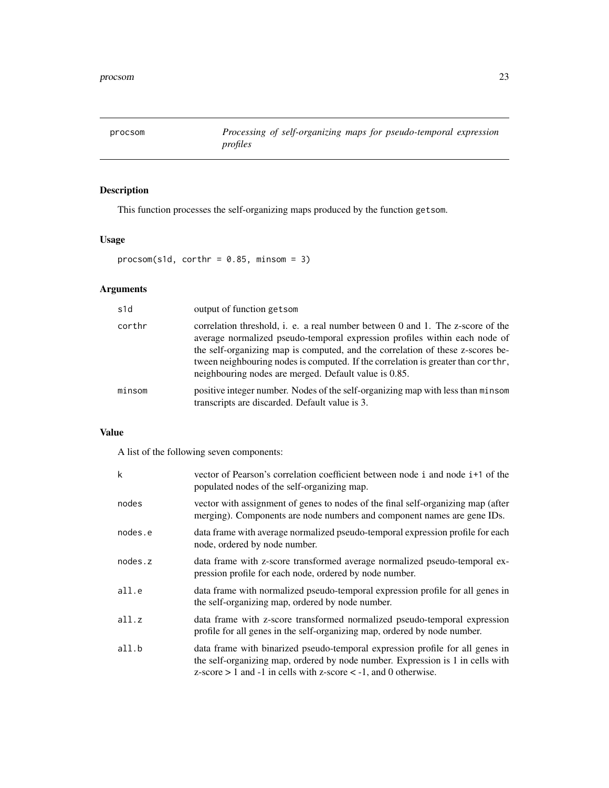<span id="page-22-0"></span>procsom *Processing of self-organizing maps for pseudo-temporal expression profiles*

# Description

This function processes the self-organizing maps produced by the function getsom.

# Usage

```
procosom(s1d, corthr = 0.85, minsom = 3)
```
# Arguments

| s <sub>1d</sub> | output of function getsom                                                                                                                                                                                                                                                                                                                                                                   |
|-----------------|---------------------------------------------------------------------------------------------------------------------------------------------------------------------------------------------------------------------------------------------------------------------------------------------------------------------------------------------------------------------------------------------|
| corthr          | correlation threshold, i. e. a real number between 0 and 1. The z-score of the<br>average normalized pseudo-temporal expression profiles within each node of<br>the self-organizing map is computed, and the correlation of these z-scores be-<br>tween neighbouring nodes is computed. If the correlation is greater than corthe,<br>neighbouring nodes are merged. Default value is 0.85. |
| minsom          | positive integer number. Nodes of the self-organizing map with less than minsom<br>transcripts are discarded. Default value is 3.                                                                                                                                                                                                                                                           |

# Value

A list of the following seven components:

| k       | vector of Pearson's correlation coefficient between node i and node i+1 of the<br>populated nodes of the self-organizing map.                                                                                                                |
|---------|----------------------------------------------------------------------------------------------------------------------------------------------------------------------------------------------------------------------------------------------|
| nodes   | vector with assignment of genes to nodes of the final self-organizing map (after<br>merging). Components are node numbers and component names are gene IDs.                                                                                  |
| nodes.e | data frame with average normalized pseudo-temporal expression profile for each<br>node, ordered by node number.                                                                                                                              |
| nodes.z | data frame with z-score transformed average normalized pseudo-temporal ex-<br>pression profile for each node, ordered by node number.                                                                                                        |
| all.e   | data frame with normalized pseudo-temporal expression profile for all genes in<br>the self-organizing map, ordered by node number.                                                                                                           |
| all.z   | data frame with z-score transformed normalized pseudo-temporal expression<br>profile for all genes in the self-organizing map, ordered by node number.                                                                                       |
| all.b   | data frame with binarized pseudo-temporal expression profile for all genes in<br>the self-organizing map, ordered by node number. Expression is 1 in cells with<br>$z$ -score $> 1$ and $-1$ in cells with z-score $< -1$ , and 0 otherwise. |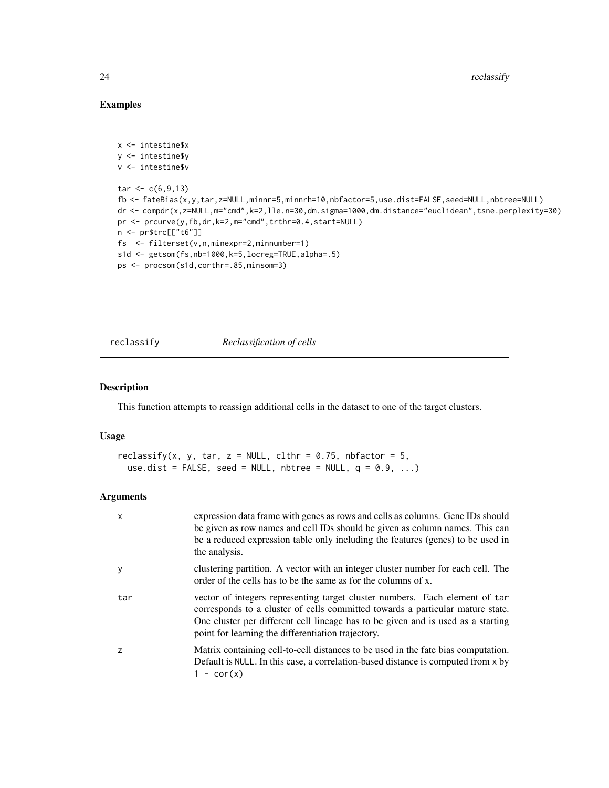# Examples

```
x <- intestine$x
y <- intestine$y
v <- intestine$v
tar < -c(6, 9, 13)fb <- fateBias(x,y,tar,z=NULL,minnr=5,minnrh=10,nbfactor=5,use.dist=FALSE,seed=NULL,nbtree=NULL)
dr <- compdr(x,z=NULL,m="cmd",k=2,lle.n=30,dm.sigma=1000,dm.distance="euclidean",tsne.perplexity=30)
pr <- prcurve(y,fb,dr,k=2,m="cmd",trthr=0.4,start=NULL)
n <- pr$trc[["t6"]]
fs <- filterset(v,n,minexpr=2,minnumber=1)
s1d <- getsom(fs,nb=1000,k=5,locreg=TRUE,alpha=.5)
ps <- procsom(s1d,corthr=.85,minsom=3)
```
reclassify *Reclassification of cells*

### Description

This function attempts to reassign additional cells in the dataset to one of the target clusters.

#### Usage

```
reclassify(x, y, tar, z = NULL, clthr = 0.75, nbfactor = 5,
 use.dist = FALSE, seed = NULL, nbtree = NULL, q = 0.9, ...)
```

| X   | expression data frame with genes as rows and cells as columns. Gene IDs should<br>be given as row names and cell IDs should be given as column names. This can<br>be a reduced expression table only including the features (genes) to be used in<br>the analysis.                                      |
|-----|---------------------------------------------------------------------------------------------------------------------------------------------------------------------------------------------------------------------------------------------------------------------------------------------------------|
| V   | clustering partition. A vector with an integer cluster number for each cell. The<br>order of the cells has to be the same as for the columns of x.                                                                                                                                                      |
| tar | vector of integers representing target cluster numbers. Each element of tar<br>corresponds to a cluster of cells committed towards a particular mature state.<br>One cluster per different cell lineage has to be given and is used as a starting<br>point for learning the differentiation trajectory. |
| z   | Matrix containing cell-to-cell distances to be used in the fate bias computation.<br>Default is NULL. In this case, a correlation-based distance is computed from $x$ by<br>$1 - \text{cor}(x)$                                                                                                         |

<span id="page-23-0"></span>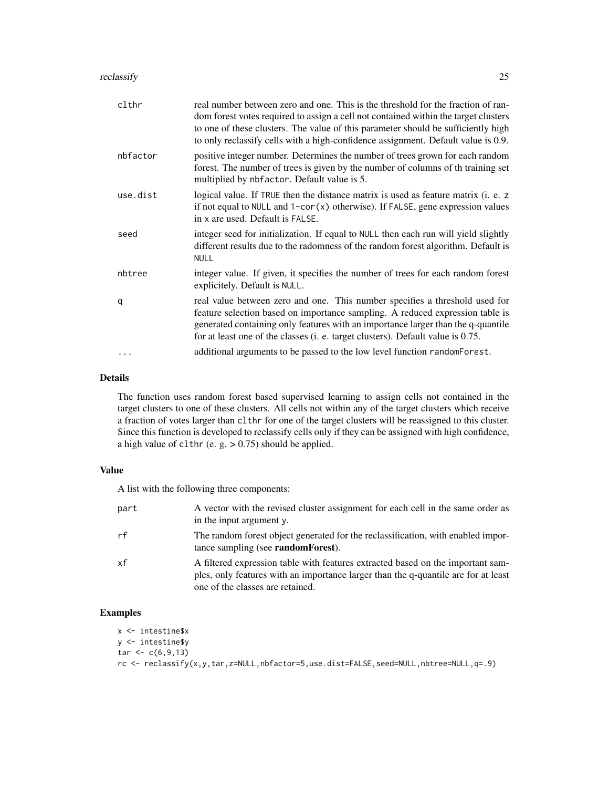#### reclassify 25

| clthr    | real number between zero and one. This is the threshold for the fraction of ran-<br>dom forest votes required to assign a cell not contained within the target clusters<br>to one of these clusters. The value of this parameter should be sufficiently high<br>to only reclassify cells with a high-confidence assignment. Default value is 0.9. |
|----------|---------------------------------------------------------------------------------------------------------------------------------------------------------------------------------------------------------------------------------------------------------------------------------------------------------------------------------------------------|
| nbfactor | positive integer number. Determines the number of trees grown for each random<br>forest. The number of trees is given by the number of columns of th training set<br>multiplied by nbfactor. Default value is 5.                                                                                                                                  |
| use.dist | logical value. If TRUE then the distance matrix is used as feature matrix ( <i>i. e.</i> z<br>if not equal to NULL and 1-cor(x) otherwise). If FALSE, gene expression values<br>in x are used. Default is FALSE.                                                                                                                                  |
| seed     | integer seed for initialization. If equal to NULL then each run will yield slightly<br>different results due to the radomness of the random forest algorithm. Default is<br><b>NULL</b>                                                                                                                                                           |
| nbtree   | integer value. If given, it specifies the number of trees for each random forest<br>explicitely. Default is NULL.                                                                                                                                                                                                                                 |
| q        | real value between zero and one. This number specifies a threshold used for<br>feature selection based on importance sampling. A reduced expression table is<br>generated containing only features with an importance larger than the q-quantile<br>for at least one of the classes (i. e. target clusters). Default value is 0.75.               |
|          | additional arguments to be passed to the low level function random Forest.                                                                                                                                                                                                                                                                        |

# Details

The function uses random forest based supervised learning to assign cells not contained in the target clusters to one of these clusters. All cells not within any of the target clusters which receive a fraction of votes larger than clthr for one of the target clusters will be reassigned to this cluster. Since this function is developed to reclassify cells only if they can be assigned with high confidence, a high value of clthr (e. g. > 0.75) should be applied.

#### Value

A list with the following three components:

| part | A vector with the revised cluster assignment for each cell in the same order as<br>in the input argument y.                                                                                               |
|------|-----------------------------------------------------------------------------------------------------------------------------------------------------------------------------------------------------------|
| rf   | The random forest object generated for the reclassification, with enabled impor-<br>tance sampling (see <b>randomForest</b> ).                                                                            |
| xf   | A filtered expression table with features extracted based on the important sam-<br>ples, only features with an importance larger than the q-quantile are for at least<br>one of the classes are retained. |

# Examples

```
x <- intestine$x
y <- intestine$y
tar < c(6, 9, 13)rc <- reclassify(x,y,tar,z=NULL,nbfactor=5,use.dist=FALSE,seed=NULL,nbtree=NULL,q=.9)
```